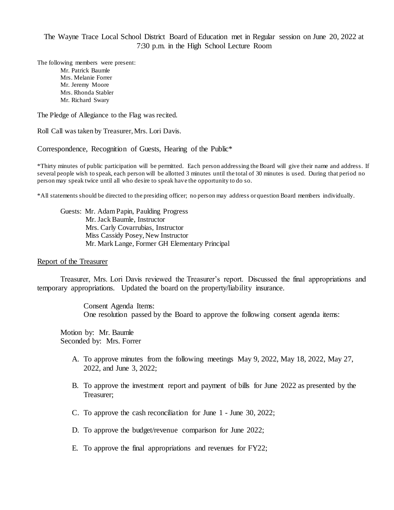The Wayne Trace Local School District Board of Education met in Regular session on June 20, 2022 at 7:30 p.m. in the High School Lecture Room

The following members were present: Mr. Patrick Baumle Mrs. Melanie Forrer Mr. Jeremy Moore Mrs. Rhonda Stabler Mr. Richard Swary

The Pledge of Allegiance to the Flag was recited.

Roll Call was taken by Treasurer, Mrs. Lori Davis.

Correspondence, Recognition of Guests, Hearing of the Public\*

\*Thirty minutes of public participation will be permitted. Each person addressing the Board will give their name and address. If several people wish to speak, each person will be allotted 3 minutes until the total of 30 minutes is used. During that period no person may speak twice until all who desire to speak have the opportunity to do so.

\*All statements should be directed to the presiding officer; no person may address or question Board members individually.

Guests: Mr. Adam Papin, Paulding Progress Mr. Jack Baumle, Instructor Mrs. Carly Covarrubias, Instructor Miss Cassidy Posey, New Instructor Mr. Mark Lange, Former GH Elementary Principal

#### Report of the Treasurer

Treasurer, Mrs. Lori Davis reviewed the Treasurer's report. Discussed the final appropriations and temporary appropriations. Updated the board on the property/liability insurance.

> Consent Agenda Items: One resolution passed by the Board to approve the following consent agenda items:

Motion by: Mr. Baumle Seconded by: Mrs. Forrer

- A. To approve minutes from the following meetings May 9, 2022, May 18, 2022, May 27, 2022, and June 3, 2022;
- B. To approve the investment report and payment of bills for June 2022 as presented by the Treasurer;
- C. To approve the cash reconciliation for June 1 June 30, 2022;
- D. To approve the budget/revenue comparison for June 2022;
- E. To approve the final appropriations and revenues for FY22;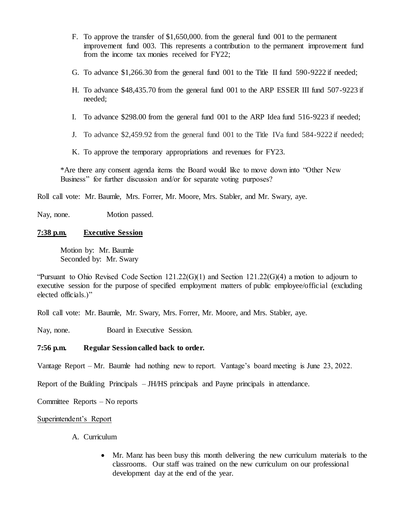- F. To approve the transfer of \$1,650,000. from the general fund 001 to the permanent improvement fund 003. This represents a contribution to the permanent improvement fund from the income tax monies received for FY22;
- G. To advance \$1,266.30 from the general fund 001 to the Title II fund 590-9222 if needed;
- H. To advance \$48,435.70 from the general fund 001 to the ARP ESSER III fund 507-9223 if needed;
- I. To advance \$298.00 from the general fund 001 to the ARP Idea fund 516-9223 if needed;
- J. To advance \$2,459.92 from the general fund 001 to the Title IVa fund 584-9222 if needed;

K. To approve the temporary appropriations and revenues for FY23.

\*Are there any consent agenda items the Board would like to move down into "Other New Business" for further discussion and/or for separate voting purposes?

Roll call vote: Mr. Baumle, Mrs. Forrer, Mr. Moore, Mrs. Stabler, and Mr. Swary, aye.

Nay, none. Motion passed.

## **7:38 p.m. Executive Session**

Motion by: Mr. Baumle Seconded by: Mr. Swary

"Pursuant to Ohio Revised Code Section  $121.22(G)(1)$  and Section  $121.22(G)(4)$  a motion to adjourn to executive session for the purpose of specified employment matters of public employee/official (excluding elected officials.)"

Roll call vote: Mr. Baumle, Mr. Swary, Mrs. Forrer, Mr. Moore, and Mrs. Stabler, aye.

Nay, none. Board in Executive Session.

## **7:56 p.m. Regular Session called back to order.**

Vantage Report – Mr. Baumle had nothing new to report. Vantage's board meeting is June 23, 2022.

Report of the Building Principals – JH/HS principals and Payne principals in attendance.

Committee Reports – No reports

## Superintendent's Report

## A. Curriculum

 Mr. Manz has been busy this month delivering the new curriculum materials to the classrooms. Our staff was trained on the new curriculum on our professional development day at the end of the year.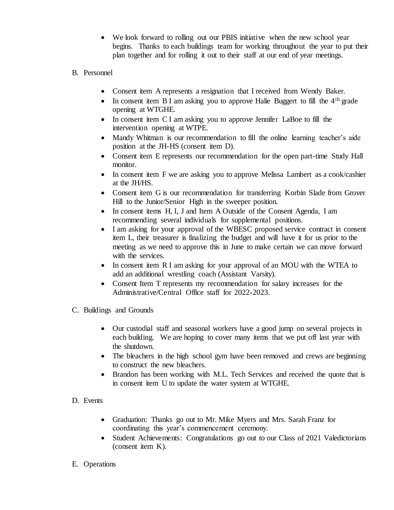- We look forward to rolling out our PBIS initiative when the new school year begins. Thanks to each buildings team for working throughout the year to put their plan together and for rolling it out to their staff at our end of year meetings.
- B. Personnel
	- Consent item A represents a resignation that I received from Wendy Baker.
	- In consent item B I am asking you to approve Halie Buggert to fill the  $4<sup>th</sup>$  grade opening at WTGHE.
	- In consent item C I am asking you to approve Jennifer LaBoe to fill the intervention opening at WTPE.
	- Mandy Whitman is our recommendation to fill the online learning teacher's aide position at the JH-HS (consent item D).
	- Consent item E represents our recommendation for the open part-time Study Hall monitor.
	- In consent item F we are asking you to approve Melissa Lambert as a cook/cashier at the JH/HS.
	- Consent item G is our recommendation for transferring Korbin Slade from Grover Hill to the Junior/Senior High in the sweeper position.
	- In consent items H, I, J and Item A Outside of the Consent Agenda, I am recommending several individuals for supplemental positions.
	- I am asking for your approval of the WBESC proposed service contract in consent item L, their treasurer is finalizing the budget and will have it for us prior to the meeting as we need to approve this in June to make certain we can move forward with the services.
	- In consent item R I am asking for your approval of an MOU with the WTEA to add an additional wrestling coach (Assistant Varsity).
	- Consent Item T represents my recommendation for salary increases for the Administrative/Central Office staff for 2022-2023.
- C. Buildings and Grounds
	- Our custodial staff and seasonal workers have a good jump on several projects in each building. We are hoping to cover many items that we put off last year with the shutdown.
	- The bleachers in the high school gym have been removed and crews are beginning to construct the new bleachers.
	- Brandon has been working with M.L. Tech Services and received the quote that is in consent item U to update the water system at WTGHE.
- D. Events
	- Graduation: Thanks go out to Mr. Mike Myers and Mrs. Sarah Franz for coordinating this year's commencement ceremony.
	- Student Achievements: Congratulations go out to our Class of 2021 Valedictorians (consent item K).
- E. Operations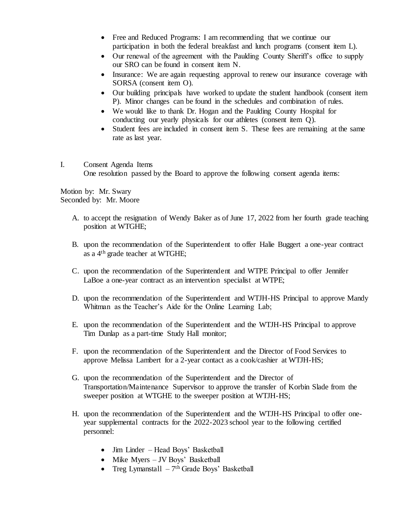- Free and Reduced Programs: I am recommending that we continue our participation in both the federal breakfast and lunch programs (consent item L).
- Our renewal of the agreement with the Paulding County Sheriff's office to supply our SRO can be found in consent item N.
- Insurance: We are again requesting approval to renew our insurance coverage with SORSA (consent item O).
- Our building principals have worked to update the student handbook (consent item P). Minor changes can be found in the schedules and combination of rules.
- We would like to thank Dr. Hogan and the Paulding County Hospital for conducting our yearly physicals for our athletes (consent item Q).
- Student fees are included in consent item S. These fees are remaining at the same rate as last year.
- I. Consent Agenda Items One resolution passed by the Board to approve the following consent agenda items:

Motion by: Mr. Swary Seconded by: Mr. Moore

- A. to accept the resignation of Wendy Baker as of June 17, 2022 from her fourth grade teaching position at WTGHE;
- B. upon the recommendation of the Superintendent to offer Halie Buggert a one-year contract as a 4th grade teacher at WTGHE;
- C. upon the recommendation of the Superintendent and WTPE Principal to offer Jennifer LaBoe a one-year contract as an intervention specialist at WTPE;
- D. upon the recommendation of the Superintendent and WTJH-HS Principal to approve Mandy Whitman as the Teacher's Aide for the Online Learning Lab;
- E. upon the recommendation of the Superintendent and the WTJH-HS Principal to approve Tim Dunlap as a part-time Study Hall monitor;
- F. upon the recommendation of the Superintendent and the Director of Food Services to approve Melissa Lambert for a 2-year contact as a cook/cashier at WTJH-HS;
- G. upon the recommendation of the Superintendent and the Director of Transportation/Maintenance Supervisor to approve the transfer of Korbin Slade from the sweeper position at WTGHE to the sweeper position at WTJH-HS;
- H. upon the recommendation of the Superintendent and the WTJH-HS Principal to offer oneyear supplemental contracts for the 2022-2023 school year to the following certified personnel:
	- Jim Linder Head Boys' Basketball
	- Mike Myers JV Boys' Basketball
	- Treg Lymanstall  $-7<sup>th</sup>$  Grade Boys' Basketball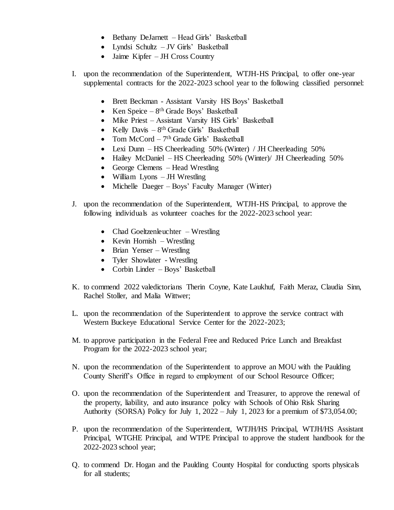- Bethany DeJarnett Head Girls' Basketball
- Lyndsi Schultz JV Girls' Basketball
- Jaime Kipfer JH Cross Country
- I. upon the recommendation of the Superintendent, WTJH-HS Principal, to offer one-year supplemental contracts for the 2022-2023 school year to the following classified personnel:
	- Brett Beckman Assistant Varsity HS Boys' Basketball
	- Ken Speice  $-8$ <sup>th</sup> Grade Boys' Basketball
	- Mike Priest Assistant Varsity HS Girls' Basketball
	- Kelly Davis  $-8$ <sup>th</sup> Grade Girls' Basketball
	- Tom McCord 7<sup>th</sup> Grade Girls' Basketball
	- Lexi Dunn HS Cheerleading 50% (Winter) / JH Cheerleading 50%
	- Hailey McDaniel HS Cheerleading 50% (Winter) JH Cheerleading 50%
	- George Clemens Head Wrestling
	- William Lyons JH Wrestling
	- Michelle Daeger Boys' Faculty Manager (Winter)
- J. upon the recommendation of the Superintendent, WTJH-HS Principal, to approve the following individuals as volunteer coaches for the 2022-2023 school year:
	- Chad Goeltzenleuchter Wrestling
	- $\bullet$  Kevin Hornish Wrestling
	- Brian Yenser Wrestling
	- Tyler Showlater Wrestling
	- Corbin Linder Boys' Basketball
- K. to commend 2022 valedictorians Therin Coyne, Kate Laukhuf, Faith Meraz, Claudia Sinn, Rachel Stoller, and Malia Wittwer;
- L. upon the recommendation of the Superintendent to approve the service contract with Western Buckeye Educational Service Center for the 2022-2023;
- M. to approve participation in the Federal Free and Reduced Price Lunch and Breakfast Program for the 2022-2023 school year;
- N. upon the recommendation of the Superintendent to approve an MOU with the Paulding County Sheriff's Office in regard to employment of our School Resource Officer;
- O. upon the recommendation of the Superintendent and Treasurer, to approve the renewal of the property, liability, and auto insurance policy with Schools of Ohio Risk Sharing Authority (SORSA) Policy for July 1, 2022 – July 1, 2023 for a premium of \$73,054.00;
- P. upon the recommendation of the Superintendent, WTJH/HS Principal, WTJH/HS Assistant Principal, WTGHE Principal, and WTPE Principal to approve the student handbook for the 2022-2023 school year;
- Q. to commend Dr. Hogan and the Paulding County Hospital for conducting sports physicals for all students;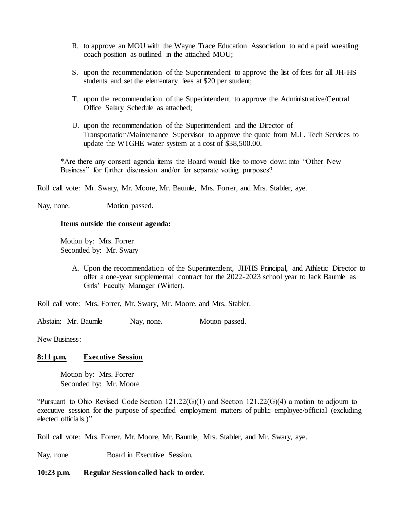- R. to approve an MOU with the Wayne Trace Education Association to add a paid wrestling coach position as outlined in the attached MOU;
- S. upon the recommendation of the Superintendent to approve the list of fees for all JH-HS students and set the elementary fees at \$20 per student;
- T. upon the recommendation of the Superintendent to approve the Administrative/Central Office Salary Schedule as attached;
- U. upon the recommendation of the Superintendent and the Director of Transportation/Maintenance Supervisor to approve the quote from M.L. Tech Services to update the WTGHE water system at a cost of \$38,500.00.

\*Are there any consent agenda items the Board would like to move down into "Other New Business" for further discussion and/or for separate voting purposes?

Roll call vote: Mr. Swary, Mr. Moore, Mr. Baumle, Mrs. Forrer, and Mrs. Stabler, aye.

Nay, none. Motion passed.

## **Items outside the consent agenda:**

Motion by: Mrs. Forrer Seconded by: Mr. Swary

> A. Upon the recommendation of the Superintendent, JH/HS Principal, and Athletic Director to offer a one-year supplemental contract for the 2022-2023 school year to Jack Baumle as Girls' Faculty Manager (Winter).

Roll call vote: Mrs. Forrer, Mr. Swary, Mr. Moore, and Mrs. Stabler.

Abstain: Mr. Baumle Nay, none. Motion passed.

New Business:

## **8:11 p.m. Executive Session**

Motion by: Mrs. Forrer Seconded by: Mr. Moore

"Pursuant to Ohio Revised Code Section  $121.22(G)(1)$  and Section  $121.22(G)(4)$  a motion to adjourn to executive session for the purpose of specified employment matters of public employee/official (excluding elected officials.)"

Roll call vote: Mrs. Forrer, Mr. Moore, Mr. Baumle, Mrs. Stabler, and Mr. Swary, aye.

Nay, none. Board in Executive Session.

**10:23 p.m. Regular Session called back to order.**